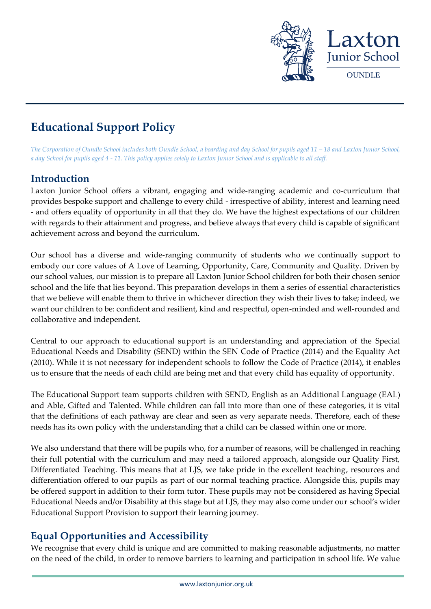

# **Educational Support Policy**

The Corporation of Oundle School includes both Oundle School, a boarding and day School for pupils aged 11 – 18 and Laxton Junior School, *a day School for pupils aged 4 - 11. This policy applies solely to Laxton Junior School and is applicable to all staff.* 

# **Introduction**

Laxton Junior School offers a vibrant, engaging and wide-ranging academic and co-curriculum that provides bespoke support and challenge to every child - irrespective of ability, interest and learning need - and offers equality of opportunity in all that they do. We have the highest expectations of our children with regards to their attainment and progress, and believe always that every child is capable of significant achievement across and beyond the curriculum.

Our school has a diverse and wide-ranging community of students who we continually support to embody our core values of A Love of Learning, Opportunity, Care, Community and Quality. Driven by our school values, our mission is to prepare all Laxton Junior School children for both their chosen senior school and the life that lies beyond. This preparation develops in them a series of essential characteristics that we believe will enable them to thrive in whichever direction they wish their lives to take; indeed, we want our children to be: confident and resilient, kind and respectful, open-minded and well-rounded and collaborative and independent.

Central to our approach to educational support is an understanding and appreciation of the Special Educational Needs and Disability (SEND) within the SEN Code of Practice (2014) and the Equality Act (2010). While it is not necessary for independent schools to follow the Code of Practice (2014), it enables us to ensure that the needs of each child are being met and that every child has equality of opportunity.

The Educational Support team supports children with SEND, English as an Additional Language (EAL) and Able, Gifted and Talented. While children can fall into more than one of these categories, it is vital that the definitions of each pathway are clear and seen as very separate needs. Therefore, each of these needs has its own policy with the understanding that a child can be classed within one or more.

We also understand that there will be pupils who, for a number of reasons, will be challenged in reaching their full potential with the curriculum and may need a tailored approach, alongside our Quality First, Differentiated Teaching. This means that at LJS, we take pride in the excellent teaching, resources and differentiation offered to our pupils as part of our normal teaching practice. Alongside this, pupils may be offered support in addition to their form tutor. These pupils may not be considered as having Special Educational Needs and/or Disability at this stage but at LJS, they may also come under our school's wider Educational Support Provision to support their learning journey.

# **Equal Opportunities and Accessibility**

We recognise that every child is unique and are committed to making reasonable adjustments, no matter on the need of the child, in order to remove barriers to learning and participation in school life. We value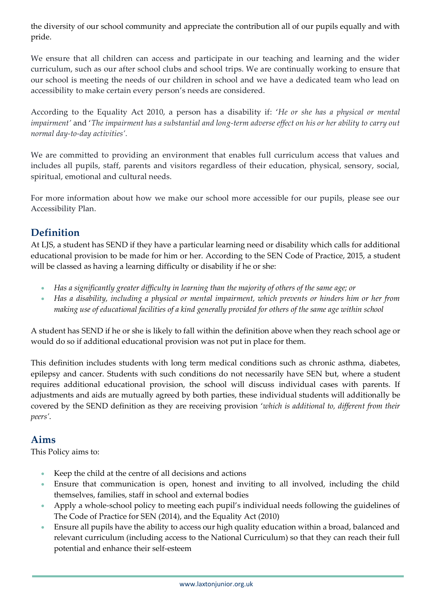the diversity of our school community and appreciate the contribution all of our pupils equally and with pride.

We ensure that all children can access and participate in our teaching and learning and the wider curriculum, such as our after school clubs and school trips. We are continually working to ensure that our school is meeting the needs of our children in school and we have a dedicated team who lead on accessibility to make certain every person's needs are considered.

According to the Equality Act 2010, a person has a disability if: '*He or she has a physical or mental impairment'* and '*The impairment has a substantial and long-term adverse effect on his or her ability to carry out normal day-to-day activities'.*

We are committed to providing an environment that enables full curriculum access that values and includes all pupils, staff, parents and visitors regardless of their education, physical, sensory, social, spiritual, emotional and cultural needs.

For more information about how we make our school more accessible for our pupils, please see our Accessibility Plan.

# **Definition**

At LJS, a student has SEND if they have a particular learning need or disability which calls for additional educational provision to be made for him or her. According to the SEN Code of Practice, 2015, a student will be classed as having a learning difficulty or disability if he or she:

- *Has a significantly greater difficulty in learning than the majority of others of the same age; or*
- *Has a disability, including a physical or mental impairment, which prevents or hinders him or her from making use of educational facilities of a kind generally provided for others of the same age within school*

A student has SEND if he or she is likely to fall within the definition above when they reach school age or would do so if additional educational provision was not put in place for them.

This definition includes students with long term medical conditions such as chronic asthma, diabetes, epilepsy and cancer. Students with such conditions do not necessarily have SEN but, where a student requires additional educational provision, the school will discuss individual cases with parents. If adjustments and aids are mutually agreed by both parties, these individual students will additionally be covered by the SEND definition as they are receiving provision '*which is additional to, different from their peers'*.

# **Aims**

This Policy aims to:

- Keep the child at the centre of all decisions and actions
- Ensure that communication is open, honest and inviting to all involved, including the child themselves, families, staff in school and external bodies
- Apply a whole-school policy to meeting each pupil's individual needs following the guidelines of The Code of Practice for SEN (2014), and the Equality Act (2010)
- Ensure all pupils have the ability to access our high quality education within a broad, balanced and relevant curriculum (including access to the National Curriculum) so that they can reach their full potential and enhance their self-esteem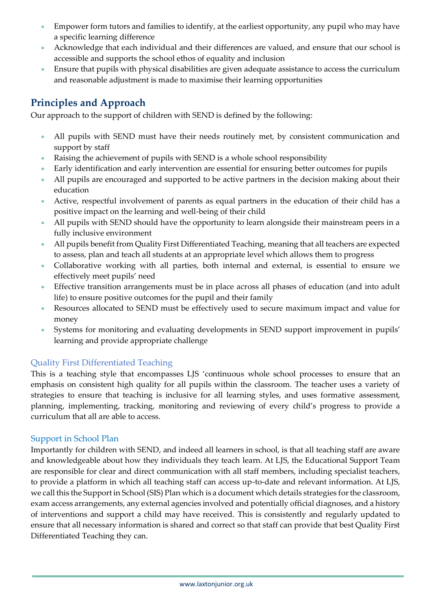- Empower form tutors and families to identify, at the earliest opportunity, any pupil who may have a specific learning difference
- Acknowledge that each individual and their differences are valued, and ensure that our school is accessible and supports the school ethos of equality and inclusion
- Ensure that pupils with physical disabilities are given adequate assistance to access the curriculum and reasonable adjustment is made to maximise their learning opportunities

# **Principles and Approach**

Our approach to the support of children with SEND is defined by the following:

- All pupils with SEND must have their needs routinely met, by consistent communication and support by staff
- Raising the achievement of pupils with SEND is a whole school responsibility
- Early identification and early intervention are essential for ensuring better outcomes for pupils
- All pupils are encouraged and supported to be active partners in the decision making about their education
- Active, respectful involvement of parents as equal partners in the education of their child has a positive impact on the learning and well-being of their child
- All pupils with SEND should have the opportunity to learn alongside their mainstream peers in a fully inclusive environment
- All pupils benefit from Quality First Differentiated Teaching, meaning that all teachers are expected to assess, plan and teach all students at an appropriate level which allows them to progress
- Collaborative working with all parties, both internal and external, is essential to ensure we effectively meet pupils' need
- Effective transition arrangements must be in place across all phases of education (and into adult life) to ensure positive outcomes for the pupil and their family
- Resources allocated to SEND must be effectively used to secure maximum impact and value for money
- Systems for monitoring and evaluating developments in SEND support improvement in pupils' learning and provide appropriate challenge

# Quality First Differentiated Teaching

This is a teaching style that encompasses LJS 'continuous whole school processes to ensure that an emphasis on consistent high quality for all pupils within the classroom. The teacher uses a variety of strategies to ensure that teaching is inclusive for all learning styles, and uses formative assessment, planning, implementing, tracking, monitoring and reviewing of every child's progress to provide a curriculum that all are able to access.

### Support in School Plan

Importantly for children with SEND, and indeed all learners in school, is that all teaching staff are aware and knowledgeable about how they individuals they teach learn. At LJS, the Educational Support Team are responsible for clear and direct communication with all staff members, including specialist teachers, to provide a platform in which all teaching staff can access up-to-date and relevant information. At LJS, we call this the Support in School (SIS) Plan which is a document which details strategies for the classroom, exam access arrangements, any external agencies involved and potentially official diagnoses, and a history of interventions and support a child may have received. This is consistently and regularly updated to ensure that all necessary information is shared and correct so that staff can provide that best Quality First Differentiated Teaching they can.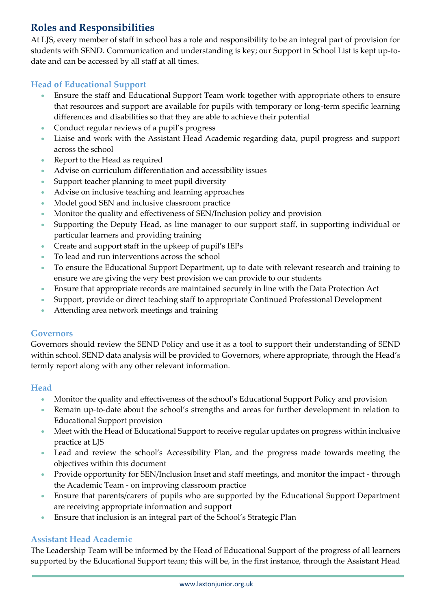# **Roles and Responsibilities**

At LJS, every member of staff in school has a role and responsibility to be an integral part of provision for students with SEND. Communication and understanding is key; our Support in School List is kept up-todate and can be accessed by all staff at all times.

### **Head of Educational Support**

- Ensure the staff and Educational Support Team work together with appropriate others to ensure that resources and support are available for pupils with temporary or long-term specific learning differences and disabilities so that they are able to achieve their potential
- Conduct regular reviews of a pupil's progress
- Liaise and work with the Assistant Head Academic regarding data, pupil progress and support across the school
- Report to the Head as required
- Advise on curriculum differentiation and accessibility issues
- Support teacher planning to meet pupil diversity
- Advise on inclusive teaching and learning approaches
- Model good SEN and inclusive classroom practice
- Monitor the quality and effectiveness of SEN/Inclusion policy and provision
- Supporting the Deputy Head, as line manager to our support staff, in supporting individual or particular learners and providing training
- Create and support staff in the upkeep of pupil's IEPs
- To lead and run interventions across the school
- To ensure the Educational Support Department, up to date with relevant research and training to ensure we are giving the very best provision we can provide to our students
- Ensure that appropriate records are maintained securely in line with the Data Protection Act
- Support, provide or direct teaching staff to appropriate Continued Professional Development
- Attending area network meetings and training

#### **Governors**

Governors should review the SEND Policy and use it as a tool to support their understanding of SEND within school. SEND data analysis will be provided to Governors, where appropriate, through the Head's termly report along with any other relevant information.

#### **Head**

- Monitor the quality and effectiveness of the school's Educational Support Policy and provision
- Remain up-to-date about the school's strengths and areas for further development in relation to Educational Support provision
- Meet with the Head of Educational Support to receive regular updates on progress within inclusive practice at LJS
- Lead and review the school's Accessibility Plan, and the progress made towards meeting the objectives within this document
- Provide opportunity for SEN/Inclusion Inset and staff meetings, and monitor the impact through the Academic Team - on improving classroom practice
- Ensure that parents/carers of pupils who are supported by the Educational Support Department are receiving appropriate information and support
- Ensure that inclusion is an integral part of the School's Strategic Plan

### **Assistant Head Academic**

The Leadership Team will be informed by the Head of Educational Support of the progress of all learners supported by the Educational Support team; this will be, in the first instance, through the Assistant Head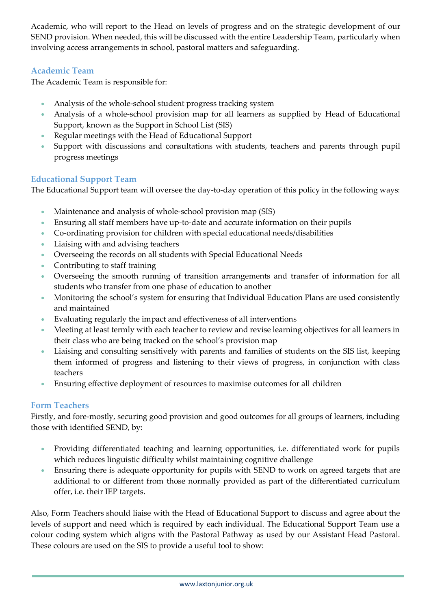Academic, who will report to the Head on levels of progress and on the strategic development of our SEND provision. When needed, this will be discussed with the entire Leadership Team, particularly when involving access arrangements in school, pastoral matters and safeguarding.

# **Academic Team**

The Academic Team is responsible for:

- Analysis of the whole-school student progress tracking system
- Analysis of a whole-school provision map for all learners as supplied by Head of Educational Support, known as the Support in School List (SIS)
- Regular meetings with the Head of Educational Support
- Support with discussions and consultations with students, teachers and parents through pupil progress meetings

# **Educational Support Team**

The Educational Support team will oversee the day-to-day operation of this policy in the following ways:

- Maintenance and analysis of whole-school provision map (SIS)
- Ensuring all staff members have up-to-date and accurate information on their pupils
- Co-ordinating provision for children with special educational needs/disabilities
- Liaising with and advising teachers
- Overseeing the records on all students with Special Educational Needs
- Contributing to staff training
- Overseeing the smooth running of transition arrangements and transfer of information for all students who transfer from one phase of education to another
- Monitoring the school's system for ensuring that Individual Education Plans are used consistently and maintained
- Evaluating regularly the impact and effectiveness of all interventions
- Meeting at least termly with each teacher to review and revise learning objectives for all learners in their class who are being tracked on the school's provision map
- Liaising and consulting sensitively with parents and families of students on the SIS list, keeping them informed of progress and listening to their views of progress, in conjunction with class teachers
- Ensuring effective deployment of resources to maximise outcomes for all children

# **Form Teachers**

Firstly, and fore-mostly, securing good provision and good outcomes for all groups of learners, including those with identified SEND, by:

- Providing differentiated teaching and learning opportunities, i.e. differentiated work for pupils which reduces linguistic difficulty whilst maintaining cognitive challenge
- Ensuring there is adequate opportunity for pupils with SEND to work on agreed targets that are additional to or different from those normally provided as part of the differentiated curriculum offer, i.e. their IEP targets.

Also, Form Teachers should liaise with the Head of Educational Support to discuss and agree about the levels of support and need which is required by each individual. The Educational Support Team use a colour coding system which aligns with the Pastoral Pathway as used by our Assistant Head Pastoral. These colours are used on the SIS to provide a useful tool to show: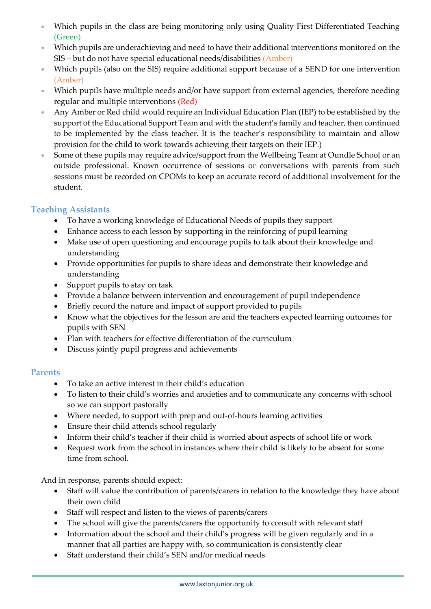- Which pupils in the class are being monitoring only using Quality First Differentiated Teaching (Green)
- Which pupils are underachieving and need to have their additional interventions monitored on the SIS – but do not have special educational needs/disabilities (Amber)
- Which pupils (also on the SIS) require additional support because of a SEND for one intervention (Amber)
- Which pupils have multiple needs and/or have support from external agencies, therefore needing regular and multiple interventions (Red)
- Any Amber or Red child would require an Individual Education Plan (IEP) to be established by the support of the Educational Support Team and with the student's family and teacher, then continued to be implemented by the class teacher. It is the teacher's responsibility to maintain and allow provision for the child to work towards achieving their targets on their IEP.)
- Some of these pupils may require advice/support from the Wellbeing Team at Oundle School or an outside professional. Known occurrence of sessions or conversations with parents from such sessions must be recorded on CPOMs to keep an accurate record of additional involvement for the student.

### **Teaching Assistants**

- To have a working knowledge of Educational Needs of pupils they support
- Enhance access to each lesson by supporting in the reinforcing of pupil learning
- Make use of open questioning and encourage pupils to talk about their knowledge and understanding
- Provide opportunities for pupils to share ideas and demonstrate their knowledge and understanding
- Support pupils to stay on task
- Provide a balance between intervention and encouragement of pupil independence
- Briefly record the nature and impact of support provided to pupils
- Know what the objectives for the lesson are and the teachers expected learning outcomes for pupils with SEN
- Plan with teachers for effective differentiation of the curriculum
- Discuss jointly pupil progress and achievements

### **Parents**

- To take an active interest in their child's education
- To listen to their child's worries and anxieties and to communicate any concerns with school so we can support pastorally
- Where needed, to support with prep and out-of-hours learning activities
- Ensure their child attends school regularly
- Inform their child's teacher if their child is worried about aspects of school life or work
- Request work from the school in instances where their child is likely to be absent for some time from school.

And in response, parents should expect:

- Staff will value the contribution of parents/carers in relation to the knowledge they have about their own child
- Staff will respect and listen to the views of parents/carers
- The school will give the parents/carers the opportunity to consult with relevant staff
- Information about the school and their child's progress will be given regularly and in a manner that all parties are happy with, so communication is consistently clear
- Staff understand their child's SEN and/or medical needs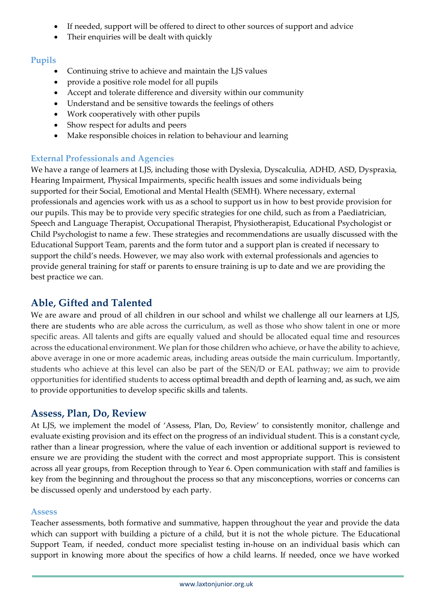- If needed, support will be offered to direct to other sources of support and advice
- Their enquiries will be dealt with quickly

# **Pupils**

- Continuing strive to achieve and maintain the LJS values
- provide a positive role model for all pupils
- Accept and tolerate difference and diversity within our community
- Understand and be sensitive towards the feelings of others
- Work cooperatively with other pupils
- Show respect for adults and peers
- Make responsible choices in relation to behaviour and learning

# **External Professionals and Agencies**

We have a range of learners at LJS, including those with Dyslexia, Dyscalculia, ADHD, ASD, Dyspraxia, Hearing Impairment, Physical Impairments, specific health issues and some individuals being supported for their Social, Emotional and Mental Health (SEMH). Where necessary, external professionals and agencies work with us as a school to support us in how to best provide provision for our pupils. This may be to provide very specific strategies for one child, such as from a Paediatrician, Speech and Language Therapist, Occupational Therapist, Physiotherapist, Educational Psychologist or Child Psychologist to name a few. These strategies and recommendations are usually discussed with the Educational Support Team, parents and the form tutor and a support plan is created if necessary to support the child's needs. However, we may also work with external professionals and agencies to provide general training for staff or parents to ensure training is up to date and we are providing the best practice we can.

# **Able, Gifted and Talented**

We are aware and proud of all children in our school and whilst we challenge all our learners at LJS, there are students who are able across the curriculum, as well as those who show talent in one or more specific areas. All talents and gifts are equally valued and should be allocated equal time and resources across the educational environment. We plan for those children who achieve, or have the ability to achieve, above average in one or more academic areas, including areas outside the main curriculum. Importantly, students who achieve at this level can also be part of the SEN/D or EAL pathway; we aim to provide opportunities for identified students to access optimal breadth and depth of learning and, as such, we aim to provide opportunities to develop specific skills and talents.

# **Assess, Plan, Do, Review**

At LJS, we implement the model of 'Assess, Plan, Do, Review' to consistently monitor, challenge and evaluate existing provision and its effect on the progress of an individual student. This is a constant cycle, rather than a linear progression, where the value of each invention or additional support is reviewed to ensure we are providing the student with the correct and most appropriate support. This is consistent across all year groups, from Reception through to Year 6. Open communication with staff and families is key from the beginning and throughout the process so that any misconceptions, worries or concerns can be discussed openly and understood by each party.

### **Assess**

Teacher assessments, both formative and summative, happen throughout the year and provide the data which can support with building a picture of a child, but it is not the whole picture. The Educational Support Team, if needed, conduct more specialist testing in-house on an individual basis which can support in knowing more about the specifics of how a child learns. If needed, once we have worked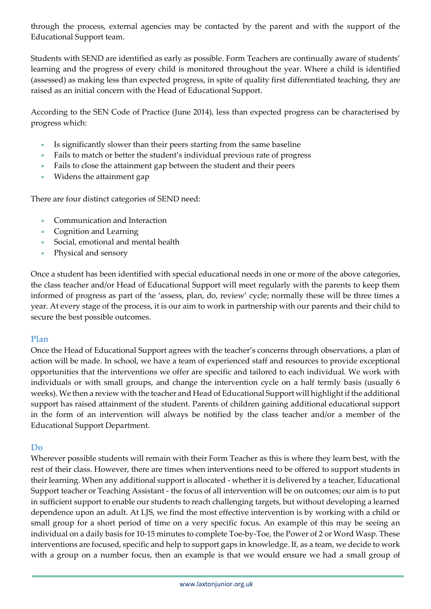through the process, external agencies may be contacted by the parent and with the support of the Educational Support team.

Students with SEND are identified as early as possible. Form Teachers are continually aware of students' learning and the progress of every child is monitored throughout the year. Where a child is identified (assessed) as making less than expected progress, in spite of quality first differentiated teaching, they are raised as an initial concern with the Head of Educational Support.

According to the SEN Code of Practice (June 2014), less than expected progress can be characterised by progress which:

- Is significantly slower than their peers starting from the same baseline
- Fails to match or better the student's individual previous rate of progress
- Fails to close the attainment gap between the student and their peers
- Widens the attainment gap

There are four distinct categories of SEND need:

- Communication and Interaction
- Cognition and Learning
- Social, emotional and mental health
- Physical and sensory

Once a student has been identified with special educational needs in one or more of the above categories, the class teacher and/or Head of Educational Support will meet regularly with the parents to keep them informed of progress as part of the 'assess, plan, do, review' cycle; normally these will be three times a year. At every stage of the process, it is our aim to work in partnership with our parents and their child to secure the best possible outcomes.

### **Plan**

Once the Head of Educational Support agrees with the teacher's concerns through observations, a plan of action will be made. In school, we have a team of experienced staff and resources to provide exceptional opportunities that the interventions we offer are specific and tailored to each individual. We work with individuals or with small groups, and change the intervention cycle on a half termly basis (usually 6 weeks). We then a review with the teacher and Head of Educational Support will highlight if the additional support has raised attainment of the student. Parents of children gaining additional educational support in the form of an intervention will always be notified by the class teacher and/or a member of the Educational Support Department.

#### **Do**

Wherever possible students will remain with their Form Teacher as this is where they learn best, with the rest of their class. However, there are times when interventions need to be offered to support students in their learning. When any additional support is allocated - whether it is delivered by a teacher, Educational Support teacher or Teaching Assistant - the focus of all intervention will be on outcomes; our aim is to put in sufficient support to enable our students to reach challenging targets, but without developing a learned dependence upon an adult. At LJS, we find the most effective intervention is by working with a child or small group for a short period of time on a very specific focus. An example of this may be seeing an individual on a daily basis for 10-15 minutes to complete Toe-by-Toe, the Power of 2 or Word Wasp. These interventions are focused, specific and help to support gaps in knowledge. If, as a team, we decide to work with a group on a number focus, then an example is that we would ensure we had a small group of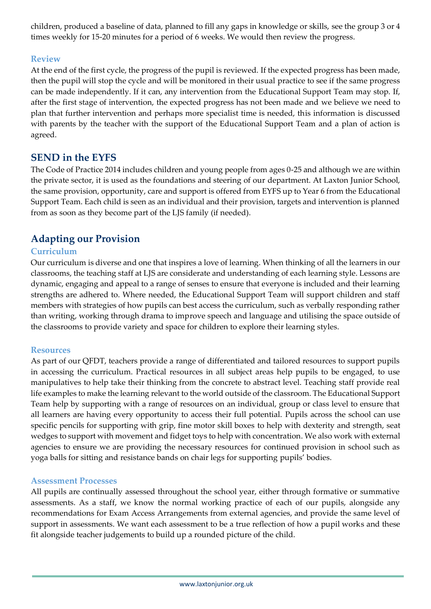children, produced a baseline of data, planned to fill any gaps in knowledge or skills, see the group 3 or 4 times weekly for 15-20 minutes for a period of 6 weeks. We would then review the progress.

### **Review**

At the end of the first cycle, the progress of the pupil is reviewed. If the expected progress has been made, then the pupil will stop the cycle and will be monitored in their usual practice to see if the same progress can be made independently. If it can, any intervention from the Educational Support Team may stop. If, after the first stage of intervention, the expected progress has not been made and we believe we need to plan that further intervention and perhaps more specialist time is needed, this information is discussed with parents by the teacher with the support of the Educational Support Team and a plan of action is agreed.

# **SEND in the EYFS**

The Code of Practice 2014 includes children and young people from ages 0-25 and although we are within the private sector, it is used as the foundations and steering of our department. At Laxton Junior School, the same provision, opportunity, care and support is offered from EYFS up to Year 6 from the Educational Support Team. Each child is seen as an individual and their provision, targets and intervention is planned from as soon as they become part of the LJS family (if needed).

# **Adapting our Provision**

### **Curriculum**

Our curriculum is diverse and one that inspires a love of learning. When thinking of all the learners in our classrooms, the teaching staff at LJS are considerate and understanding of each learning style. Lessons are dynamic, engaging and appeal to a range of senses to ensure that everyone is included and their learning strengths are adhered to. Where needed, the Educational Support Team will support children and staff members with strategies of how pupils can best access the curriculum, such as verbally responding rather than writing, working through drama to improve speech and language and utilising the space outside of the classrooms to provide variety and space for children to explore their learning styles.

#### **Resources**

As part of our QFDT, teachers provide a range of differentiated and tailored resources to support pupils in accessing the curriculum. Practical resources in all subject areas help pupils to be engaged, to use manipulatives to help take their thinking from the concrete to abstract level. Teaching staff provide real life examples to make the learning relevant to the world outside of the classroom. The Educational Support Team help by supporting with a range of resources on an individual, group or class level to ensure that all learners are having every opportunity to access their full potential. Pupils across the school can use specific pencils for supporting with grip, fine motor skill boxes to help with dexterity and strength, seat wedges to support with movement and fidget toys to help with concentration. We also work with external agencies to ensure we are providing the necessary resources for continued provision in school such as yoga balls for sitting and resistance bands on chair legs for supporting pupils' bodies.

#### **Assessment Processes**

All pupils are continually assessed throughout the school year, either through formative or summative assessments. As a staff, we know the normal working practice of each of our pupils, alongside any recommendations for Exam Access Arrangements from external agencies, and provide the same level of support in assessments. We want each assessment to be a true reflection of how a pupil works and these fit alongside teacher judgements to build up a rounded picture of the child.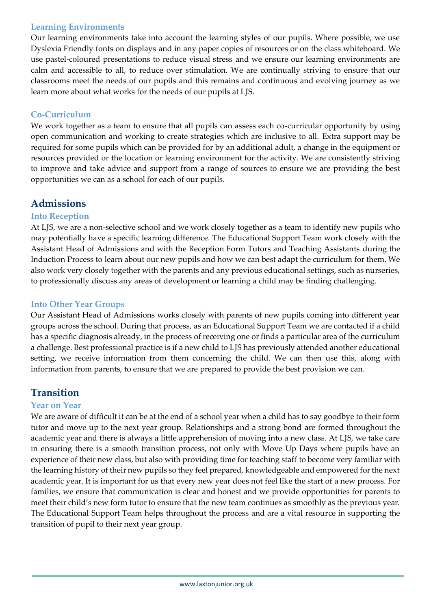### **Learning Environments**

Our learning environments take into account the learning styles of our pupils. Where possible, we use Dyslexia Friendly fonts on displays and in any paper copies of resources or on the class whiteboard. We use pastel-coloured presentations to reduce visual stress and we ensure our learning environments are calm and accessible to all, to reduce over stimulation. We are continually striving to ensure that our classrooms meet the needs of our pupils and this remains and continuous and evolving journey as we learn more about what works for the needs of our pupils at LJS.

# **Co-Curriculum**

We work together as a team to ensure that all pupils can assess each co-curricular opportunity by using open communication and working to create strategies which are inclusive to all. Extra support may be required for some pupils which can be provided for by an additional adult, a change in the equipment or resources provided or the location or learning environment for the activity. We are consistently striving to improve and take advice and support from a range of sources to ensure we are providing the best opportunities we can as a school for each of our pupils.

# **Admissions**

### **Into Reception**

At LJS, we are a non-selective school and we work closely together as a team to identify new pupils who may potentially have a specific learning difference. The Educational Support Team work closely with the Assistant Head of Admissions and with the Reception Form Tutors and Teaching Assistants during the Induction Process to learn about our new pupils and how we can best adapt the curriculum for them. We also work very closely together with the parents and any previous educational settings, such as nurseries, to professionally discuss any areas of development or learning a child may be finding challenging.

### **Into Other Year Groups**

Our Assistant Head of Admissions works closely with parents of new pupils coming into different year groups across the school. During that process, as an Educational Support Team we are contacted if a child has a specific diagnosis already, in the process of receiving one or finds a particular area of the curriculum a challenge. Best professional practice is if a new child to LJS has previously attended another educational setting, we receive information from them concerning the child. We can then use this, along with information from parents, to ensure that we are prepared to provide the best provision we can.

# **Transition**

### **Year on Year**

We are aware of difficult it can be at the end of a school year when a child has to say goodbye to their form tutor and move up to the next year group. Relationships and a strong bond are formed throughout the academic year and there is always a little apprehension of moving into a new class. At LJS, we take care in ensuring there is a smooth transition process, not only with Move Up Days where pupils have an experience of their new class, but also with providing time for teaching staff to become very familiar with the learning history of their new pupils so they feel prepared, knowledgeable and empowered for the next academic year. It is important for us that every new year does not feel like the start of a new process. For families, we ensure that communication is clear and honest and we provide opportunities for parents to meet their child's new form tutor to ensure that the new team continues as smoothly as the previous year. The Educational Support Team helps throughout the process and are a vital resource in supporting the transition of pupil to their next year group.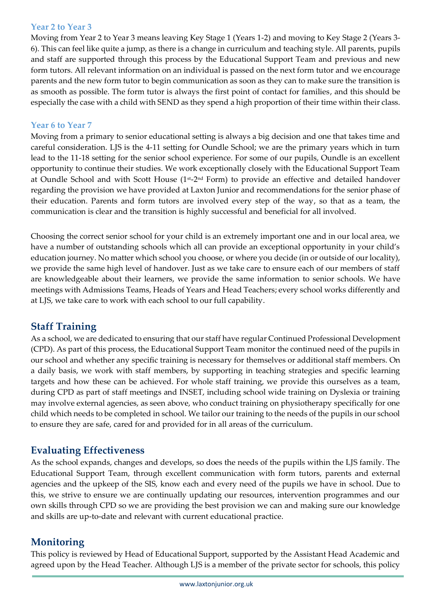### **Year 2 to Year 3**

Moving from Year 2 to Year 3 means leaving Key Stage 1 (Years 1-2) and moving to Key Stage 2 (Years 3- 6). This can feel like quite a jump, as there is a change in curriculum and teaching style. All parents, pupils and staff are supported through this process by the Educational Support Team and previous and new form tutors. All relevant information on an individual is passed on the next form tutor and we encourage parents and the new form tutor to begin communication as soon as they can to make sure the transition is as smooth as possible. The form tutor is always the first point of contact for families, and this should be especially the case with a child with SEND as they spend a high proportion of their time within their class.

### **Year 6 to Year 7**

Moving from a primary to senior educational setting is always a big decision and one that takes time and careful consideration. LJS is the 4-11 setting for Oundle School; we are the primary years which in turn lead to the 11-18 setting for the senior school experience. For some of our pupils, Oundle is an excellent opportunity to continue their studies. We work exceptionally closely with the Educational Support Team at Oundle School and with Scott House (1st-2nd Form) to provide an effective and detailed handover regarding the provision we have provided at Laxton Junior and recommendations for the senior phase of their education. Parents and form tutors are involved every step of the way, so that as a team, the communication is clear and the transition is highly successful and beneficial for all involved.

Choosing the correct senior school for your child is an extremely important one and in our local area, we have a number of outstanding schools which all can provide an exceptional opportunity in your child's education journey. No matter which school you choose, or where you decide (in or outside of our locality), we provide the same high level of handover. Just as we take care to ensure each of our members of staff are knowledgeable about their learners, we provide the same information to senior schools. We have meetings with Admissions Teams, Heads of Years and Head Teachers; every school works differently and at LJS, we take care to work with each school to our full capability.

# **Staff Training**

As a school, we are dedicated to ensuring that our staff have regular Continued Professional Development (CPD). As part of this process, the Educational Support Team monitor the continued need of the pupils in our school and whether any specific training is necessary for themselves or additional staff members. On a daily basis, we work with staff members, by supporting in teaching strategies and specific learning targets and how these can be achieved. For whole staff training, we provide this ourselves as a team, during CPD as part of staff meetings and INSET, including school wide training on Dyslexia or training may involve external agencies, as seen above, who conduct training on physiotherapy specifically for one child which needs to be completed in school. We tailor our training to the needs of the pupils in our school to ensure they are safe, cared for and provided for in all areas of the curriculum.

# **Evaluating Effectiveness**

As the school expands, changes and develops, so does the needs of the pupils within the LJS family. The Educational Support Team, through excellent communication with form tutors, parents and external agencies and the upkeep of the SIS, know each and every need of the pupils we have in school. Due to this, we strive to ensure we are continually updating our resources, intervention programmes and our own skills through CPD so we are providing the best provision we can and making sure our knowledge and skills are up-to-date and relevant with current educational practice.

# **Monitoring**

This policy is reviewed by Head of Educational Support, supported by the Assistant Head Academic and agreed upon by the Head Teacher. Although LJS is a member of the private sector for schools, this policy